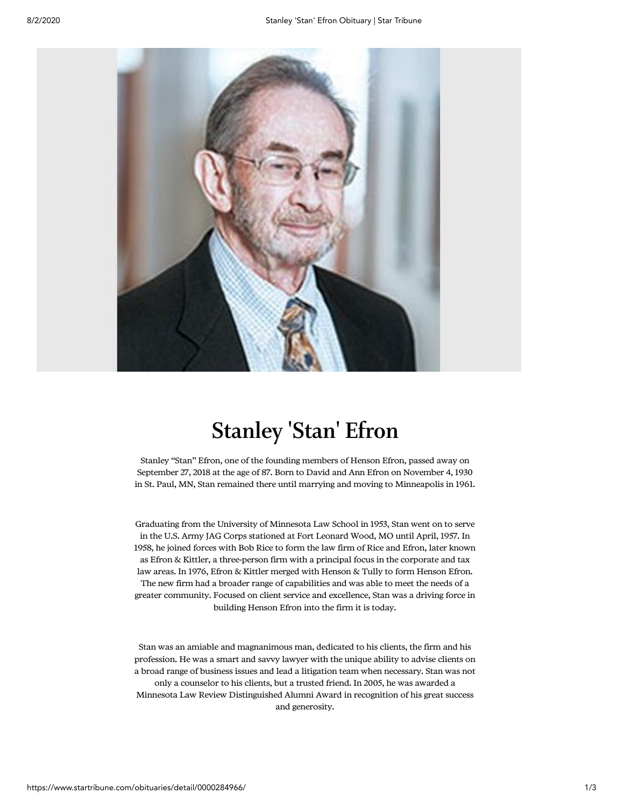

## Stanley 'Stan' Efron

Stanley "Stan" Efron, one of the founding members of Henson Efron, passed away on September 27, 2018 at the age of 87. Born to David and Ann Efron on November 4, 1930 in St. Paul, MN, Stan remained there until marrying and moving to Minneapolis in 1961.

Graduating from the University of Minnesota Law School in 1953, Stan went on to serve in the U.S. Army JAG Corps stationed at Fort Leonard Wood, MO until April, 1957. In 1958, he joined forces with Bob Rice to form the law firm of Rice and Efron, later known as Efron & Kittler, a three-person firm with a principal focus in the corporate and tax law areas. In 1976, Efron & Kittler merged with Henson & Tully to form Henson Efron. The new firm had a broader range of capabilities and was able to meet the needs of a greater community. Focused on client service and excellence, Stan was a driving force in building Henson Efron into the firm it is today.

Stan was an amiable and magnanimous man, dedicated to his clients, the firm and his profession. He was a smart and savvy lawyer with the unique ability to advise clients on a broad range of business issues and lead a litigation team when necessary. Stan was not only a counselor to his clients, but a trusted friend. In 2005, he was awarded a Minnesota Law Review Distinguished Alumni Award in recognition of his great success and generosity.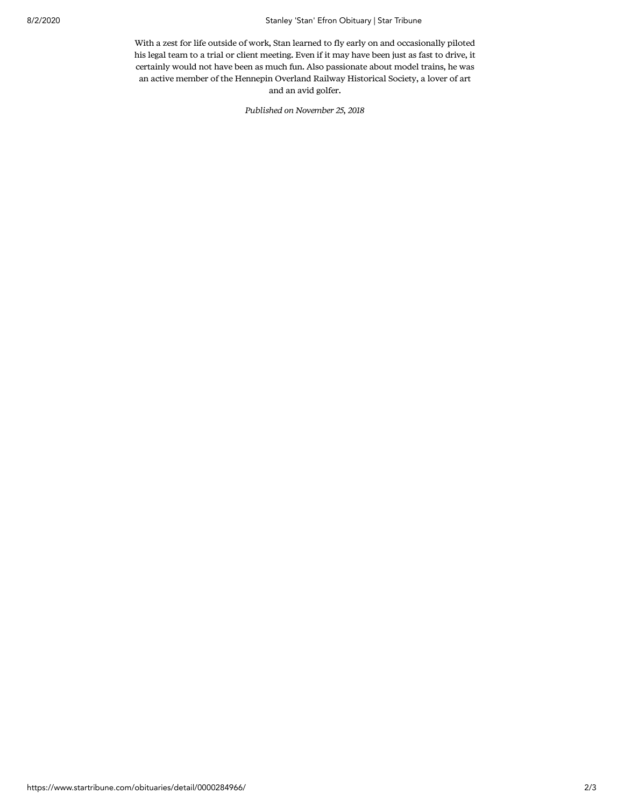## 8/2/2020 Stanley 'Stan' Efron Obituary | Star Tribune

With a zest for life outside of work, Stan learned to fly early on and occasionally piloted his legal team to a trial or client meeting. Even if it may have been just as fast to drive, it certainly would not have been as much fun. Also passionate about model trains, he was an active member of the Hennepin Overland Railway Historical Society, a lover of art and an avid golfer.

Published on November 25, 2018